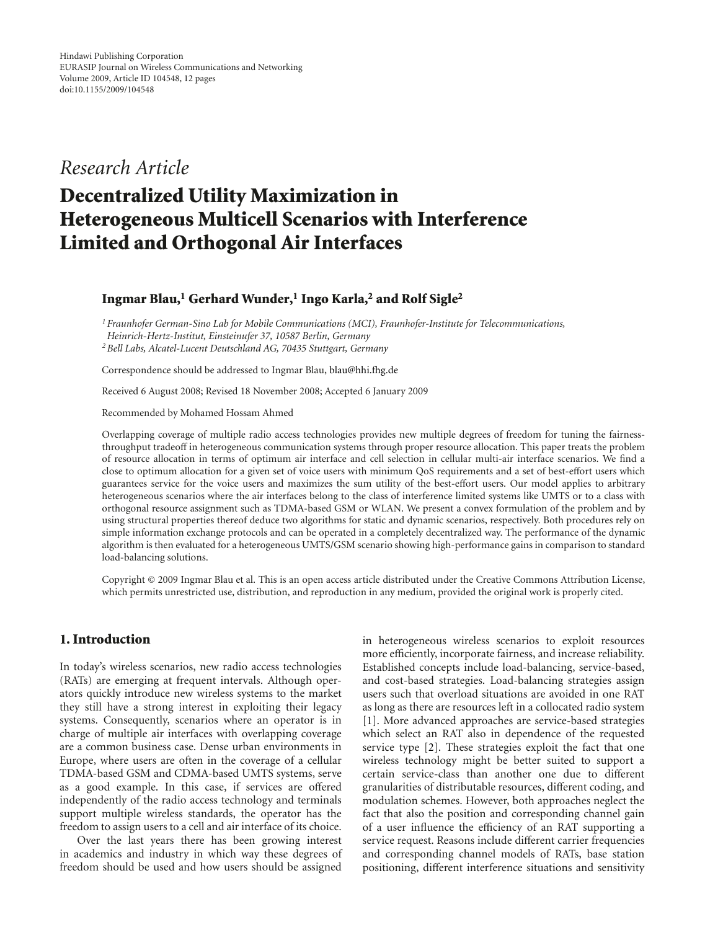# *Research Article*

# **Decentralized Utility Maximization in Heterogeneous Multicell Scenarios with Interference Limited and Orthogonal Air Interfaces**

### **Ingmar Blau,1 Gerhard Wunder,1 Ingo Karla,2 and Rolf Sigle2**

*<sup>1</sup> Fraunhofer German-Sino Lab for Mobile Communications (MCI), Fraunhofer-Institute for Telecommunications, Heinrich-Hertz-Institut, Einsteinufer 37, 10587 Berlin, Germany*

*2Bell Labs, Alcatel-Lucent Deutschland AG, 70435 Stuttgart, Germany*

Correspondence should be addressed to Ingmar Blau, blau@hhi.fhg.de

Received 6 August 2008; Revised 18 November 2008; Accepted 6 January 2009

Recommended by Mohamed Hossam Ahmed

Overlapping coverage of multiple radio access technologies provides new multiple degrees of freedom for tuning the fairnessthroughput tradeoff in heterogeneous communication systems through proper resource allocation. This paper treats the problem of resource allocation in terms of optimum air interface and cell selection in cellular multi-air interface scenarios. We find a close to optimum allocation for a given set of voice users with minimum QoS requirements and a set of best-effort users which guarantees service for the voice users and maximizes the sum utility of the best-effort users. Our model applies to arbitrary heterogeneous scenarios where the air interfaces belong to the class of interference limited systems like UMTS or to a class with orthogonal resource assignment such as TDMA-based GSM or WLAN. We present a convex formulation of the problem and by using structural properties thereof deduce two algorithms for static and dynamic scenarios, respectively. Both procedures rely on simple information exchange protocols and can be operated in a completely decentralized way. The performance of the dynamic algorithm is then evaluated for a heterogeneous UMTS/GSM scenario showing high-performance gains in comparison to standard load-balancing solutions.

Copyright © 2009 Ingmar Blau et al. This is an open access article distributed under the Creative Commons Attribution License, which permits unrestricted use, distribution, and reproduction in any medium, provided the original work is properly cited.

## **1. Introduction**

In today's wireless scenarios, new radio access technologies (RATs) are emerging at frequent intervals. Although operators quickly introduce new wireless systems to the market they still have a strong interest in exploiting their legacy systems. Consequently, scenarios where an operator is in charge of multiple air interfaces with overlapping coverage are a common business case. Dense urban environments in Europe, where users are often in the coverage of a cellular TDMA-based GSM and CDMA-based UMTS systems, serve as a good example. In this case, if services are offered independently of the radio access technology and terminals support multiple wireless standards, the operator has the freedom to assign users to a cell and air interface of its choice.

Over the last years there has been growing interest in academics and industry in which way these degrees of freedom should be used and how users should be assigned

in heterogeneous wireless scenarios to exploit resources more efficiently, incorporate fairness, and increase reliability. Established concepts include load-balancing, service-based, and cost-based strategies. Load-balancing strategies assign users such that overload situations are avoided in one RAT as long as there are resources left in a collocated radio system [1]. More advanced approaches are service-based strategies which select an RAT also in dependence of the requested service type [2]. These strategies exploit the fact that one wireless technology might be better suited to support a certain service-class than another one due to different granularities of distributable resources, different coding, and modulation schemes. However, both approaches neglect the fact that also the position and corresponding channel gain of a user influence the efficiency of an RAT supporting a service request. Reasons include different carrier frequencies and corresponding channel models of RATs, base station positioning, different interference situations and sensitivity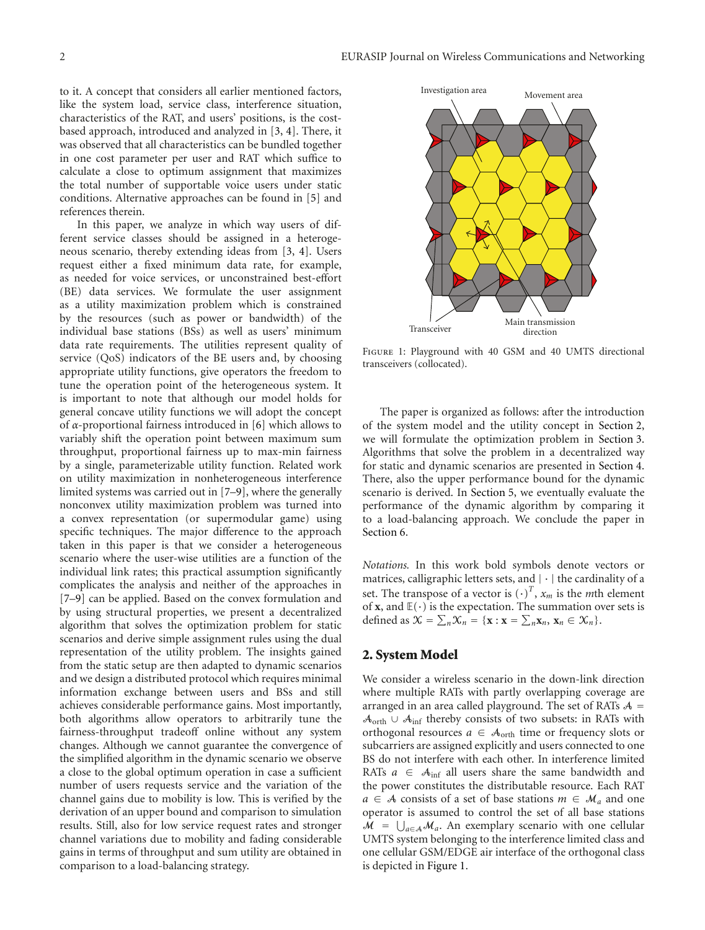to it. A concept that considers all earlier mentioned factors, like the system load, service class, interference situation, characteristics of the RAT, and users' positions, is the costbased approach, introduced and analyzed in [3, 4]. There, it was observed that all characteristics can be bundled together in one cost parameter per user and RAT which suffice to calculate a close to optimum assignment that maximizes the total number of supportable voice users under static conditions. Alternative approaches can be found in [5] and references therein.

In this paper, we analyze in which way users of different service classes should be assigned in a heterogeneous scenario, thereby extending ideas from [3, 4]. Users request either a fixed minimum data rate, for example, as needed for voice services, or unconstrained best-effort (BE) data services. We formulate the user assignment as a utility maximization problem which is constrained by the resources (such as power or bandwidth) of the individual base stations (BSs) as well as users' minimum data rate requirements. The utilities represent quality of service (QoS) indicators of the BE users and, by choosing appropriate utility functions, give operators the freedom to tune the operation point of the heterogeneous system. It is important to note that although our model holds for general concave utility functions we will adopt the concept of *α*-proportional fairness introduced in [6] which allows to variably shift the operation point between maximum sum throughput, proportional fairness up to max-min fairness by a single, parameterizable utility function. Related work on utility maximization in nonheterogeneous interference limited systems was carried out in [7–9], where the generally nonconvex utility maximization problem was turned into a convex representation (or supermodular game) using specific techniques. The major difference to the approach taken in this paper is that we consider a heterogeneous scenario where the user-wise utilities are a function of the individual link rates; this practical assumption significantly complicates the analysis and neither of the approaches in [7–9] can be applied. Based on the convex formulation and by using structural properties, we present a decentralized algorithm that solves the optimization problem for static scenarios and derive simple assignment rules using the dual representation of the utility problem. The insights gained from the static setup are then adapted to dynamic scenarios and we design a distributed protocol which requires minimal information exchange between users and BSs and still achieves considerable performance gains. Most importantly, both algorithms allow operators to arbitrarily tune the fairness-throughput tradeoff online without any system changes. Although we cannot guarantee the convergence of the simplified algorithm in the dynamic scenario we observe a close to the global optimum operation in case a sufficient number of users requests service and the variation of the channel gains due to mobility is low. This is verified by the derivation of an upper bound and comparison to simulation results. Still, also for low service request rates and stronger channel variations due to mobility and fading considerable gains in terms of throughput and sum utility are obtained in comparison to a load-balancing strategy.



Figure 1: Playground with 40 GSM and 40 UMTS directional transceivers (collocated).

The paper is organized as follows: after the introduction of the system model and the utility concept in Section 2, we will formulate the optimization problem in Section 3. Algorithms that solve the problem in a decentralized way for static and dynamic scenarios are presented in Section 4. There, also the upper performance bound for the dynamic scenario is derived. In Section 5, we eventually evaluate the performance of the dynamic algorithm by comparing it to a load-balancing approach. We conclude the paper in Section 6.

*Notations.* In this work bold symbols denote vectors or matrices, calligraphic letters sets, and |·| the cardinality of a set. The transpose of a vector is  $(\cdot)^T$ ,  $x_m$  is the *m*th element of **x**, and  $\mathbb{E}(\cdot)$  is the expectation. The summation over sets is defined as  $\mathcal{X} = \sum_n \mathcal{X}_n = {\mathbf{x} : \mathbf{x} = \sum_n \mathbf{x}_n, \mathbf{x}_n \in \mathcal{X}_n}.$ 

#### **2. System Model**

We consider a wireless scenario in the down-link direction where multiple RATs with partly overlapping coverage are arranged in an area called playground. The set of RATs  $\mathcal{A} =$  $\mathcal{A}_{\text{orth}} \cup \mathcal{A}_{\text{inf}}$  thereby consists of two subsets: in RATs with orthogonal resources  $a \in A_{\text{orth}}$  time or frequency slots or subcarriers are assigned explicitly and users connected to one BS do not interfere with each other. In interference limited RATs  $a \in \mathcal{A}_{\text{inf}}$  all users share the same bandwidth and the power constitutes the distributable resource. Each RAT  $a \in A$  consists of a set of base stations  $m \in M_a$  and one operator is assumed to control the set of all base stations  $M = \bigcup_{a \in A} M_a$ . An exemplary scenario with one cellular UMTS system belonging to the interference limited class and one cellular GSM/EDGE air interface of the orthogonal class is depicted in Figure 1.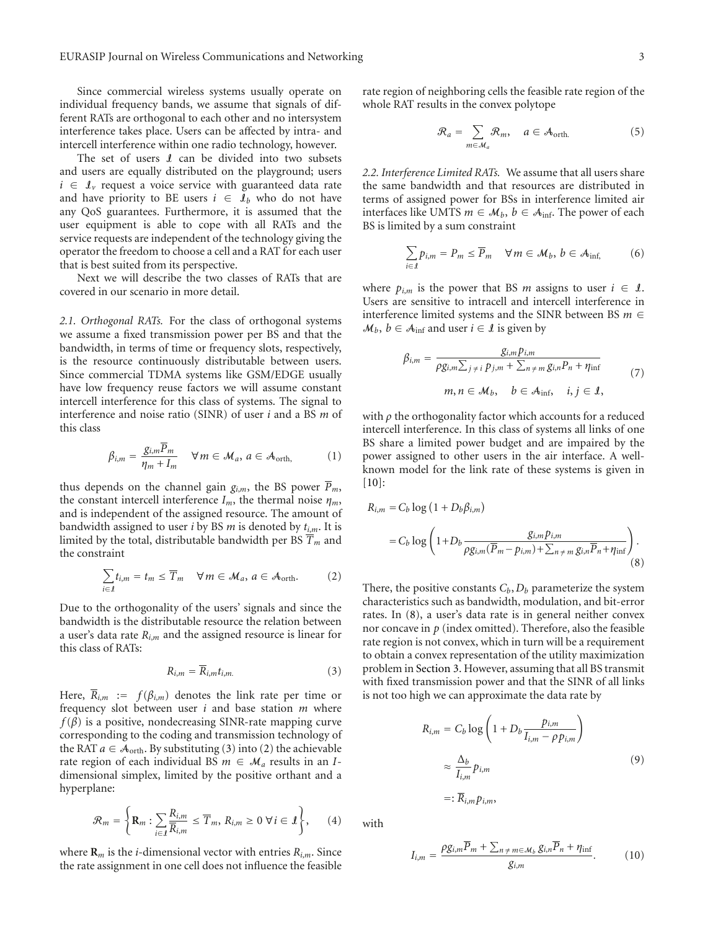Since commercial wireless systems usually operate on individual frequency bands, we assume that signals of different RATs are orthogonal to each other and no intersystem interference takes place. Users can be affected by intra- and intercell interference within one radio technology, however.

The set of users  $\mathcal{I}$  can be divided into two subsets and users are equally distributed on the playground; users  $i \in \mathcal{I}_\nu$  request a voice service with guaranteed data rate and have priority to BE users  $i \in I_b$  who do not have any QoS guarantees. Furthermore, it is assumed that the user equipment is able to cope with all RATs and the service requests are independent of the technology giving the operator the freedom to choose a cell and a RAT for each user that is best suited from its perspective.

Next we will describe the two classes of RATs that are covered in our scenario in more detail.

*2.1. Orthogonal RATs.* For the class of orthogonal systems we assume a fixed transmission power per BS and that the bandwidth, in terms of time or frequency slots, respectively, is the resource continuously distributable between users. Since commercial TDMA systems like GSM/EDGE usually have low frequency reuse factors we will assume constant intercell interference for this class of systems. The signal to interference and noise ratio (SINR) of user *i* and a BS *m* of this class

$$
\beta_{i,m} = \frac{g_{i,m} \overline{P}_m}{\eta_m + I_m} \quad \forall m \in \mathcal{M}_a, a \in \mathcal{A}_{\text{orth},}
$$
 (1)

thus depends on the channel gain  $g_{i,m}$ , the BS power  $\overline{P}_m$ , the constant intercell interference  $I_m$ , the thermal noise  $\eta_m$ , and is independent of the assigned resource. The amount of bandwidth assigned to user *i* by BS *m* is denoted by *ti*,*m*. It is limited by the total, distributable bandwidth per BS  $\overline{T}_m$  and the constraint

$$
\sum_{i \in \mathcal{I}} t_{i,m} = t_m \le \overline{T}_m \quad \forall m \in \mathcal{M}_a, a \in \mathcal{A}_{\text{orth}}.
$$
 (2)

Due to the orthogonality of the users' signals and since the bandwidth is the distributable resource the relation between a user's data rate *Ri*,*<sup>m</sup>* and the assigned resource is linear for this class of RATs:

$$
R_{i,m} = \overline{R}_{i,m} t_{i,m} \tag{3}
$$

Here,  $\overline{R}_{i,m}$  :=  $f(\beta_{i,m})$  denotes the link rate per time or frequency slot between user *i* and base station *m* where  $f(\beta)$  is a positive, nondecreasing SINR-rate mapping curve corresponding to the coding and transmission technology of the RAT  $a \in \mathcal{A}_{\text{orth}}$ . By substituting (3) into (2) the achievable rate region of each individual BS  $m \in \mathcal{M}_a$  results in an *I*dimensional simplex, limited by the positive orthant and a hyperplane:

$$
\mathcal{R}_m = \left\{ \mathbf{R}_m : \sum_{i \in \mathcal{I}} \frac{R_{i,m}}{\overline{R}_{i,m}} \le \overline{T}_m, R_{i,m} \ge 0 \,\forall i \in \mathcal{I} \right\},\qquad(4)
$$

where  $\mathbf{R}_m$  is the *i*-dimensional vector with entries  $R_{i,m}$ . Since the rate assignment in one cell does not influence the feasible rate region of neighboring cells the feasible rate region of the whole RAT results in the convex polytope

$$
\mathcal{R}_a = \sum_{m \in \mathcal{M}_a} \mathcal{R}_m, \quad a \in \mathcal{A}_{\text{orth.}} \tag{5}
$$

*2.2. Interference Limited RATs.* We assume that all users share the same bandwidth and that resources are distributed in terms of assigned power for BSs in interference limited air interfaces like UMTS  $m \in \mathcal{M}_b$ ,  $b \in \mathcal{A}_{\text{inf}}$ . The power of each BS is limited by a sum constraint

$$
\sum_{i\in\mathcal{I}} p_{i,m} = P_m \le \overline{P}_m \quad \forall \, m \in \mathcal{M}_b, \, b \in \mathcal{A}_{\text{inf}}, \tag{6}
$$

where  $p_{i,m}$  is the power that BS *m* assigns to user  $i \in \mathcal{I}$ . Users are sensitive to intracell and intercell interference in interference limited systems and the SINR between BS *m* ∈  $\mathcal{M}_b$ ,  $b \in \mathcal{A}_{\text{inf}}$  and user  $i \in \mathcal{I}$  is given by

$$
\beta_{i,m} = \frac{g_{i,m}p_{i,m}}{\rho g_{i,m} \sum_{j \neq i} p_{j,m} + \sum_{n \neq m} g_{i,n}p_n + \eta_{\text{inf}}}
$$
\n
$$
m, n \in \mathcal{M}_b, \quad b \in \mathcal{A}_{\text{inf}}, \quad i, j \in \mathcal{I},
$$
\n(7)

with  $\rho$  the orthogonality factor which accounts for a reduced intercell interference. In this class of systems all links of one BS share a limited power budget and are impaired by the power assigned to other users in the air interface. A wellknown model for the link rate of these systems is given in [10]:

$$
R_{i,m} = C_b \log \left( 1 + D_b \beta_{i,m} \right)
$$
  
=  $C_b \log \left( 1 + D_b \frac{g_{i,m} p_{i,m}}{\rho g_{i,m} (\overline{P}_m - p_{i,m}) + \sum_{n \neq m} g_{i,n} \overline{P}_n + \eta_{\text{inf}}} \right)$ . (8)

There, the positive constants  $C_b$ ,  $D_b$  parameterize the system characteristics such as bandwidth, modulation, and bit-error rates. In (8), a user's data rate is in general neither convex nor concave in *p* (index omitted). Therefore, also the feasible rate region is not convex, which in turn will be a requirement to obtain a convex representation of the utility maximization problem in Section 3. However, assuming that all BS transmit with fixed transmission power and that the SINR of all links is not too high we can approximate the data rate by

$$
R_{i,m} = C_b \log \left( 1 + D_b \frac{p_{i,m}}{I_{i,m} - \rho p_{i,m}} \right)
$$
  

$$
\approx \frac{\Delta_b}{I_{i,m}} p_{i,m}
$$
  

$$
=: \overline{R}_{i,m} p_{i,m}, \qquad (9)
$$

with

$$
I_{i,m} = \frac{\rho g_{i,m} \overline{P}_m + \sum_{n \neq m \in \mathcal{M}_b} g_{i,n} \overline{P}_n + \eta_{\text{inf}}}{g_{i,m}}.
$$
 (10)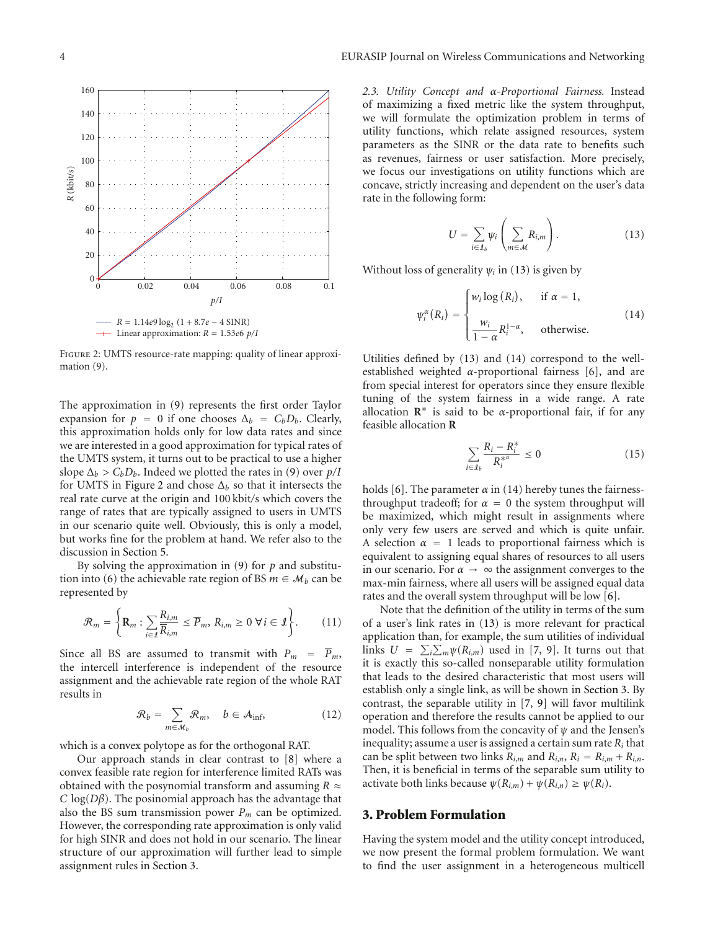FIGURE 2: UMTS resource-rate mapping: quality of linear approximation (9).

The approximation in (9) represents the first order Taylor expansion for  $p = 0$  if one chooses  $\Delta_b = C_b D_b$ . Clearly, this approximation holds only for low data rates and since we are interested in a good approximation for typical rates of the UMTS system, it turns out to be practical to use a higher slope  $\Delta_b > C_b D_b$ . Indeed we plotted the rates in (9) over  $p/I$ for UMTS in Figure 2 and chose  $\Delta_b$  so that it intersects the real rate curve at the origin and 100 kbit*/*s which covers the range of rates that are typically assigned to users in UMTS in our scenario quite well. Obviously, this is only a model, but works fine for the problem at hand. We refer also to the discussion in Section 5.

By solving the approximation in  $(9)$  for  $p$  and substitution into (6) the achievable rate region of BS  $m \in \mathcal{M}_b$  can be represented by

$$
\mathcal{R}_m = \left\{ \mathbf{R}_m : \sum_{i \in \mathcal{I}} \frac{R_{i,m}}{R_{i,m}} \le \overline{P}_m, R_{i,m} \ge 0 \,\,\forall \, i \in \mathcal{I} \right\}.
$$
 (11)

Since all BS are assumed to transmit with  $P_m = \overline{P}_m$ , the intercell interference is independent of the resource assignment and the achievable rate region of the whole RAT results in

$$
\mathcal{R}_b = \sum_{m \in \mathcal{M}_b} \mathcal{R}_m, \quad b \in \mathcal{A}_{\text{inf}}, \tag{12}
$$

which is a convex polytope as for the orthogonal RAT.

Our approach stands in clear contrast to [8] where a convex feasible rate region for interference limited RATs was obtained with the posynomial transform and assuming  $R \approx$ *C* log( $D\beta$ ). The posinomial approach has the advantage that also the BS sum transmission power *Pm* can be optimized. However, the corresponding rate approximation is only valid for high SINR and does not hold in our scenario. The linear structure of our approximation will further lead to simple assignment rules in Section 3.

*2.3. Utility Concept and α-Proportional Fairness.* Instead of maximizing a fixed metric like the system throughput, we will formulate the optimization problem in terms of utility functions, which relate assigned resources, system parameters as the SINR or the data rate to benefits such as revenues, fairness or user satisfaction. More precisely, we focus our investigations on utility functions which are concave, strictly increasing and dependent on the user's data rate in the following form:

$$
U = \sum_{i \in I_b} \psi_i \left( \sum_{m \in \mathcal{M}} R_{i,m} \right). \tag{13}
$$

Without loss of generality  $\psi_i$  in (13) is given by

$$
\psi_i^{\alpha}(R_i) = \begin{cases} w_i \log(R_i), & \text{if } \alpha = 1, \\ \frac{w_i}{1 - \alpha} R_i^{1 - \alpha}, & \text{otherwise.} \end{cases}
$$
(14)

Utilities defined by (13) and (14) correspond to the wellestablished weighted *α*-proportional fairness [6], and are from special interest for operators since they ensure flexible tuning of the system fairness in a wide range. A rate allocation  $\mathbb{R}^*$  is said to be *α*-proportional fair, if for any feasible allocation **R**

$$
\sum_{i \in I_b} \frac{R_i - R_i^*}{R_i^{*^{\alpha}}} \le 0
$$
\n(15)

holds [6]. The parameter  $\alpha$  in (14) hereby tunes the fairnessthroughput tradeoff; for  $\alpha = 0$  the system throughput will be maximized, which might result in assignments where only very few users are served and which is quite unfair. A selection  $\alpha = 1$  leads to proportional fairness which is equivalent to assigning equal shares of resources to all users in our scenario. For  $\alpha \rightarrow \infty$  the assignment converges to the max-min fairness, where all users will be assigned equal data rates and the overall system throughput will be low [6].

Note that the definition of the utility in terms of the sum of a user's link rates in (13) is more relevant for practical application than, for example, the sum utilities of individual links  $U = \sum_{i} \sum_{m} \psi(R_{i,m})$  used in [7, 9]. It turns out that it is exactly this so-called nonseparable utility formulation that leads to the desired characteristic that most users will establish only a single link, as will be shown in Section 3. By contrast, the separable utility in [7, 9] will favor multilink operation and therefore the results cannot be applied to our model. This follows from the concavity of *ψ* and the Jensen's inequality; assume a user is assigned a certain sum rate *Ri* that can be split between two links  $R_{i,m}$  and  $R_{i,n}$ ,  $R_i = R_{i,m} + R_{i,n}$ . Then, it is beneficial in terms of the separable sum utility to activate both links because  $\psi(R_{i,m}) + \psi(R_{i,n}) \geq \psi(R_i)$ .

#### **3. Problem Formulation**

Having the system model and the utility concept introduced, we now present the formal problem formulation. We want to find the user assignment in a heterogeneous multicell

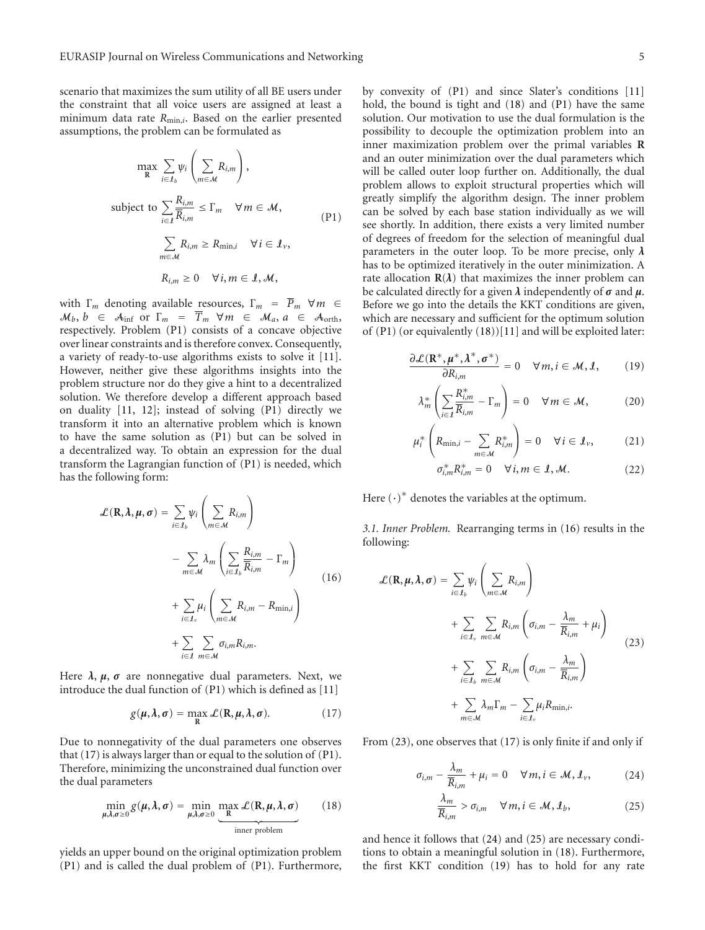scenario that maximizes the sum utility of all BE users under the constraint that all voice users are assigned at least a minimum data rate *R*min,*i*. Based on the earlier presented assumptions, the problem can be formulated as

$$
\max_{\mathbf{R}} \sum_{i \in \mathcal{I}_b} \psi_i \left( \sum_{m \in \mathcal{M}} R_{i,m} \right),
$$
\n
$$
\text{subject to } \sum_{i \in \mathcal{I}} \frac{R_{i,m}}{\overline{R}_{i,m}} \le \Gamma_m \quad \forall m \in \mathcal{M},
$$
\n
$$
\sum_{m \in \mathcal{M}} R_{i,m} \ge R_{\min,i} \quad \forall i \in \mathcal{I}_\nu,
$$
\n
$$
R_{i,m} \ge 0 \quad \forall i, m \in \mathcal{I}, \mathcal{M},
$$
\n
$$
(P1)
$$

with  $\Gamma_m$  denoting available resources,  $\Gamma_m = P_m \ \forall m \in$  $\mathcal{M}_b, b \in \mathcal{A}_{\text{inf}}$  or  $\Gamma_m = T_m \ \forall m \in \mathcal{M}_a, a \in \mathcal{A}_{\text{orth}}$ , respectively. Problem (P1) consists of a concave objective over linear constraints and is therefore convex. Consequently, a variety of ready-to-use algorithms exists to solve it [11]. However, neither give these algorithms insights into the problem structure nor do they give a hint to a decentralized solution. We therefore develop a different approach based on duality [11, 12]; instead of solving (P1) directly we transform it into an alternative problem which is known to have the same solution as (P1) but can be solved in a decentralized way. To obtain an expression for the dual transform the Lagrangian function of (P1) is needed, which has the following form:

$$
\mathcal{L}(\mathbf{R}, \lambda, \mu, \sigma) = \sum_{i \in I_b} \psi_i \left( \sum_{m \in \mathcal{M}} R_{i,m} \right)
$$

$$
- \sum_{m \in \mathcal{M}} \lambda_m \left( \sum_{i \in I_b} \frac{R_{i,m}}{\overline{R}_{i,m}} - \Gamma_m \right)
$$

$$
+ \sum_{i \in I_v} \mu_i \left( \sum_{m \in \mathcal{M}} R_{i,m} - R_{\min,i} \right)
$$

$$
+ \sum_{i \in I} \sum_{m \in \mathcal{M}} \sigma_{i,m} R_{i,m}.
$$
 (16)

Here *λ*, *μ*, *σ* are nonnegative dual parameters. Next, we introduce the dual function of (P1) which is defined as [11]

$$
g(\mu, \lambda, \sigma) = \max_{\mathbf{R}} \mathcal{L}(\mathbf{R}, \mu, \lambda, \sigma).
$$
 (17)

Due to nonnegativity of the dual parameters one observes that (17) is always larger than or equal to the solution of (P1). Therefore, minimizing the unconstrained dual function over the dual parameters

$$
\min_{\mu,\lambda,\sigma\geq 0} g(\mu,\lambda,\sigma) = \min_{\mu,\lambda,\sigma\geq 0} \underbrace{\max_{\mathbf{R}} \mathcal{L}(\mathbf{R},\mu,\lambda,\sigma)}_{\text{inner problem}} \qquad (18)
$$

yields an upper bound on the original optimization problem (P1) and is called the dual problem of (P1). Furthermore, by convexity of (P1) and since Slater's conditions [11] hold, the bound is tight and (18) and (P1) have the same solution. Our motivation to use the dual formulation is the possibility to decouple the optimization problem into an inner maximization problem over the primal variables **R** and an outer minimization over the dual parameters which will be called outer loop further on. Additionally, the dual problem allows to exploit structural properties which will greatly simplify the algorithm design. The inner problem can be solved by each base station individually as we will see shortly. In addition, there exists a very limited number of degrees of freedom for the selection of meaningful dual parameters in the outer loop. To be more precise, only *λ* has to be optimized iteratively in the outer minimization. A rate allocation  $R(\lambda)$  that maximizes the inner problem can be calculated directly for a given *λ* independently of *σ* and *μ*. Before we go into the details the KKT conditions are given, which are necessary and sufficient for the optimum solution of  $(P1)$  (or equivalently  $(18)$ ) $[11]$  and will be exploited later:

$$
\frac{\partial \mathcal{L}(\mathbf{R}^*, \boldsymbol{\mu}^*, \boldsymbol{\lambda}^*, \boldsymbol{\sigma}^*)}{\partial R_{i,m}} = 0 \quad \forall m, i \in \mathcal{M}, \mathcal{I}, \qquad (19)
$$

$$
\lambda_m^* \left( \sum_{i \in \mathcal{I}} \frac{R_{i,m}^*}{\overline{R}_{i,m}} - \Gamma_m \right) = 0 \quad \forall \, m \in \mathcal{M}, \tag{20}
$$

$$
\mu_i^* \left( R_{\min,i} - \sum_{m \in \mathcal{M}} R_{i,m}^* \right) = 0 \quad \forall i \in \mathcal{I}_\nu,
$$
\n
$$
\sigma_{i,m}^* R_{i,m}^* = 0 \quad \forall i, m \in \mathcal{I}, \mathcal{M}.
$$
\n(22)

Here 
$$
(\cdot)^*
$$
 denotes the variables at the optimum.

*3.1. Inner Problem.* Rearranging terms in (16) results in the following:

$$
\mathcal{L}(\mathbf{R}, \mu, \lambda, \sigma) = \sum_{i \in I_b} \psi_i \left( \sum_{m \in \mathcal{M}} R_{i,m} \right)
$$
  
+ 
$$
\sum_{i \in I_v} \sum_{m \in \mathcal{M}} R_{i,m} \left( \sigma_{i,m} - \frac{\lambda_m}{R_{i,m}} + \mu_i \right)
$$
  
+ 
$$
\sum_{i \in I_b} \sum_{m \in \mathcal{M}} R_{i,m} \left( \sigma_{i,m} - \frac{\lambda_m}{R_{i,m}} \right)
$$
  
+ 
$$
\sum_{m \in \mathcal{M}} \lambda_m \Gamma_m - \sum_{i \in I_v} \mu_i R_{\min,i}.
$$
 (23)

From (23), one observes that (17) is only finite if and only if

$$
\sigma_{i,m} - \frac{\lambda_m}{\overline{R}_{i,m}} + \mu_i = 0 \quad \forall m, i \in \mathcal{M}, \ell_\nu,
$$
 (24)

$$
\frac{\lambda_m}{\overline{R}_{i,m}} > \sigma_{i,m} \quad \forall m, i \in \mathcal{M}, \mathcal{L}_b,
$$
\n(25)

and hence it follows that (24) and (25) are necessary conditions to obtain a meaningful solution in (18). Furthermore, the first KKT condition (19) has to hold for any rate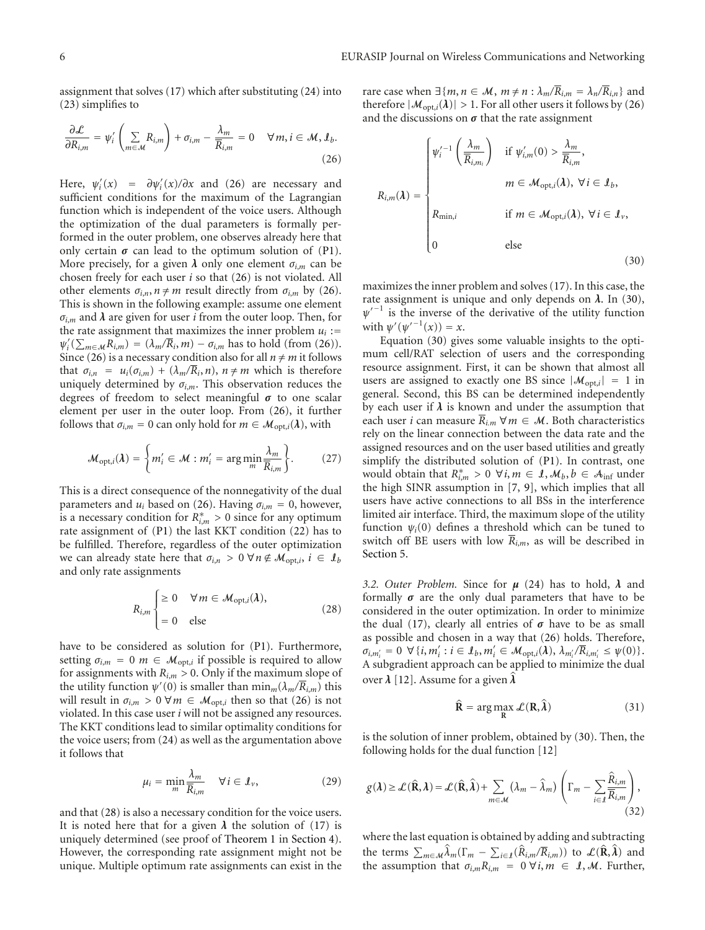assignment that solves (17) which after substituting (24) into (23) simplifies to

$$
\frac{\partial \mathcal{L}}{\partial R_{i,m}} = \psi'_i \left( \sum_{m \in \mathcal{M}} R_{i,m} \right) + \sigma_{i,m} - \frac{\lambda_m}{\overline{R}_{i,m}} = 0 \quad \forall m, i \in \mathcal{M}, \mathcal{L}_b.
$$
\n(26)

Here,  $\psi_i'(x) = \partial \psi_i'(x) / \partial x$  and (26) are necessary and sufficient conditions for the maximum of the Lagrangian function which is independent of the voice users. Although the optimization of the dual parameters is formally performed in the outer problem, one observes already here that only certain  $\sigma$  can lead to the optimum solution of (P1). More precisely, for a given  $\lambda$  only one element  $\sigma_{i,m}$  can be chosen freely for each user *i* so that (26) is not violated. All other elements  $\sigma_{i,n}$ ,  $n \neq m$  result directly from  $\sigma_{i,m}$  by (26). This is shown in the following example: assume one element  $\sigma$ <sub>*im*</sub> and  $\lambda$  are given for user *i* from the outer loop. Then, for the rate assignment that maximizes the inner problem  $u_i$ :=  $\psi'_{i}(\sum_{m\in\mathcal{M}}R_{i,m}) = (\lambda_m/\overline{R}_i,m) - \sigma_{i,m}$  has to hold (from (26)). Since (26) is a necessary condition also for all  $n \neq m$  it follows that  $\sigma_{i,n} = u_i(\sigma_{i,m}) + (\lambda_m/R_i, n), n \neq m$  which is therefore uniquely determined by  $\sigma_{i,m}$ . This observation reduces the degrees of freedom to select meaningful *σ* to one scalar element per user in the outer loop. From (26), it further follows that  $\sigma_{i,m} = 0$  can only hold for  $m \in \mathcal{M}_{\text{opt},i}(\lambda)$ , with

$$
\mathcal{M}_{\text{opt},i}(\boldsymbol{\lambda}) = \left\{ m'_i \in \mathcal{M} : m'_i = \arg\min_m \frac{\lambda_m}{\overline{R}_{i,m}} \right\}.
$$
 (27)

This is a direct consequence of the nonnegativity of the dual parameters and  $u_i$  based on (26). Having  $\sigma_{i,m} = 0$ , however, is a necessary condition for *R*<sup>∗</sup> *<sup>i</sup>*,*<sup>m</sup> >* 0 since for any optimum rate assignment of (P1) the last KKT condition (22) has to be fulfilled. Therefore, regardless of the outer optimization we can already state here that  $\sigma_{i,n} > 0 \,\forall n \notin \mathcal{M}_{\text{opt},i}, i \in \mathcal{I}_b$ and only rate assignments

$$
R_{i,m} \begin{cases} \geq 0 & \forall m \in \mathcal{M}_{\text{opt},i}(\lambda), \\ = 0 & \text{else} \end{cases}
$$
 (28)

have to be considered as solution for (P1). Furthermore, setting  $\sigma_{i,m} = 0 \; m \in \mathcal{M}_{\text{opt},i}$  if possible is required to allow for assignments with  $R_{i,m} > 0$ . Only if the maximum slope of the utility function  $\psi'(0)$  is smaller than  $\min_m(\lambda_m/\overline{R}_{i,m})$  this will result in  $\sigma_{i,m} > 0 \ \forall m \in \mathcal{M}_{\text{opt},i}$  then so that (26) is not violated. In this case user *i* will not be assigned any resources. The KKT conditions lead to similar optimality conditions for the voice users; from (24) as well as the argumentation above it follows that

$$
\mu_i = \min_m \frac{\lambda_m}{\overline{R}_{i,m}} \quad \forall i \in \mathcal{I}_\nu,
$$
\n(29)

and that (28) is also a necessary condition for the voice users. It is noted here that for a given  $\lambda$  the solution of (17) is uniquely determined (see proof of Theorem 1 in Section 4). However, the corresponding rate assignment might not be unique. Multiple optimum rate assignments can exist in the

rare case when  $\exists \{m, n \in \mathcal{M}, m \neq n : \lambda_m / \overline{R}_{i,m} = \lambda_n / \overline{R}_{i,n} \}$  and therefore  $|\mathcal{M}_{\text{opt},i}(\lambda)| > 1$ . For all other users it follows by (26) and the discussions on  $\sigma$  that the rate assignment

$$
R_{i,m}(\lambda) = \begin{cases} \psi_i'^{-1}\left(\frac{\lambda_m}{\overline{R}_{i,m_i}}\right) & \text{if } \psi_{i,m}'(0) > \frac{\lambda_m}{\overline{R}_{i,m}}, \\ & m \in \mathcal{M}_{\text{opt},i}(\lambda), \ \forall i \in \mathcal{I}_b, \\ R_{\min,i} & \text{if } m \in \mathcal{M}_{\text{opt},i}(\lambda), \ \forall i \in \mathcal{I}_v, \\ 0 & \text{else} \end{cases}
$$
(30)

maximizes the inner problem and solves (17). In this case, the rate assignment is unique and only depends on  $\lambda$ . In (30),  $\psi'^{-1}$  is the inverse of the derivative of the utility function with  $\psi'(\psi'^{-1}(x)) = x$ .

Equation (30) gives some valuable insights to the optimum cell/RAT selection of users and the corresponding resource assignment. First, it can be shown that almost all users are assigned to exactly one BS since  $|\mathcal{M}_{\text{opt},i}| = 1$  in general. Second, this BS can be determined independently by each user if  $\lambda$  is known and under the assumption that each user *i* can measure  $\overline{R}_{i,m}$   $\forall m \in \mathcal{M}$ . Both characteristics rely on the linear connection between the data rate and the assigned resources and on the user based utilities and greatly simplify the distributed solution of (P1). In contrast, one would obtain that  $R^*_{i,m} > 0 \ \forall i, m \in \mathcal{I}, \mathcal{M}_b, b \in \mathcal{A}_{\text{inf}}$  under the high SINR assumption in [7, 9], which implies that all users have active connections to all BSs in the interference limited air interface. Third, the maximum slope of the utility function  $\psi_i(0)$  defines a threshold which can be tuned to switch off BE users with low  $\overline{R}_{i,m}$ , as will be described in Section 5.

*3.2. Outer Problem.* Since for *μ* (24) has to hold, *λ* and formally *σ* are the only dual parameters that have to be considered in the outer optimization. In order to minimize the dual (17), clearly all entries of  $\sigma$  have to be as small as possible and chosen in a way that (26) holds. Therefore,  $\sigma_{i,m'_i} = 0 \ \forall \{i,m'_i : i \in \mathcal{I}_b, m'_i \in \mathcal{M}_{\text{opt},i}(\lambda), \lambda_{m'_i}/\overline{R}_{i,m'_i} \leq \psi(0)\}.$ A subgradient approach can be applied to minimize the dual over *λ* [12]. Assume for a given *λ*

$$
\hat{\mathbf{R}} = \arg\max_{\mathbf{R}} \mathcal{L}(\mathbf{R}, \hat{\lambda})
$$
 (31)

is the solution of inner problem, obtained by (30). Then, the following holds for the dual function [12]

$$
g(\lambda) \geq \mathcal{L}(\widehat{\mathbf{R}}, \lambda) = \mathcal{L}(\widehat{\mathbf{R}}, \widehat{\lambda}) + \sum_{m \in \mathcal{M}} (\lambda_m - \widehat{\lambda}_m) \left( \Gamma_m - \sum_{i \in \mathcal{I}} \frac{\widehat{R}_{i,m}}{\overline{R}_{i,m}} \right),
$$
\n(32)

where the last equation is obtained by adding and subtracting the terms  $\sum_{m \in \mathcal{M}} \hat{\lambda}_m(\Gamma_m - \sum_{i \in \mathcal{I}} (\hat{R}_{i,m} / \overline{R}_{i,m}))$  to  $\mathcal{L}(\hat{R}, \hat{\lambda})$  and the assumption that  $\sigma_{i,m}R_{i,m} = 0 \,\forall i, m \in \mathcal{I}, \mathcal{M}$ . Further,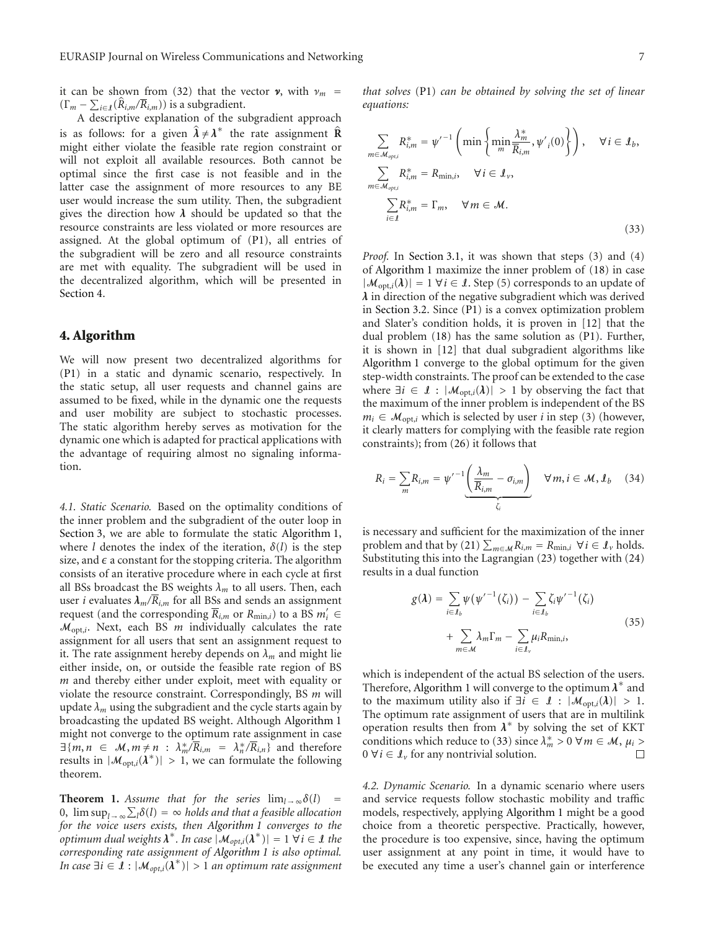it can be shown from (32) that the vector  $\nu$ , with  $\nu_m$  $(\Gamma_m - \sum_{i \in \mathcal{I}} (R_{i,m}/R_{i,m}))$  is a subgradient.

A descriptive explanation of the subgradient approach is as follows: for a given  $\hat{\lambda} \neq \lambda^*$  the rate assignment  $\hat{R}$ might either violate the feasible rate region constraint or will not exploit all available resources. Both cannot be optimal since the first case is not feasible and in the latter case the assignment of more resources to any BE user would increase the sum utility. Then, the subgradient gives the direction how  $\lambda$  should be updated so that the resource constraints are less violated or more resources are assigned. At the global optimum of (P1), all entries of the subgradient will be zero and all resource constraints are met with equality. The subgradient will be used in the decentralized algorithm, which will be presented in Section 4.

#### **4. Algorithm**

We will now present two decentralized algorithms for (P1) in a static and dynamic scenario, respectively. In the static setup, all user requests and channel gains are assumed to be fixed, while in the dynamic one the requests and user mobility are subject to stochastic processes. The static algorithm hereby serves as motivation for the dynamic one which is adapted for practical applications with the advantage of requiring almost no signaling information.

*4.1. Static Scenario.* Based on the optimality conditions of the inner problem and the subgradient of the outer loop in Section 3, we are able to formulate the static Algorithm 1, where *l* denotes the index of the iteration,  $\delta(l)$  is the step size, and  $\epsilon$  a constant for the stopping criteria. The algorithm consists of an iterative procedure where in each cycle at first all BSs broadcast the BS weights *λm* to all users. Then, each user *i* evaluates  $\lambda_m/\overline{R}_{i,m}$  for all BSs and sends an assignment request (and the corresponding  $\overline{R}_{i,m}$  or  $R_{\text{min},i}$ ) to a BS  $m'_i \in$ Mopt,*i*. Next, each BS *m* individually calculates the rate assignment for all users that sent an assignment request to it. The rate assignment hereby depends on  $\lambda_m$  and might lie either inside, on, or outside the feasible rate region of BS *m* and thereby either under exploit, meet with equality or violate the resource constraint. Correspondingly, BS *m* will update  $\lambda_m$  using the subgradient and the cycle starts again by broadcasting the updated BS weight. Although Algorithm 1 might not converge to the optimum rate assignment in case  $\exists \{m, n \in \mathcal{M}, m \neq n : \lambda_m^* / \overline{R}_{i,m} = \lambda_n^* / \overline{R}_{i,n} \}$  and therefore results in  $|\mathcal{M}_{\text{opt},i}(\lambda^*)| > 1$ , we can formulate the following theorem.

**Theorem 1.** *Assume that for the series*  $\lim_{l\to\infty} \delta(l)$  =  $0, \limsup_{l \to \infty} \sum_l \delta(l) = \infty$  *holds and that a feasible allocation for the voice users exists, then Algorithm 1 converges to the optimum dual weights*  $\lambda^*$ *. In case*  $|\mathcal{M}_{opt,i}(\lambda^*)| = 1 \,\forall i \in \mathcal{I}$  the *corresponding rate assignment of Algorithm 1 is also optimal. In case*  $\exists i \in \mathcal{I} : |\mathcal{M}_{opt,i}(\lambda^*)| > 1$  *an optimum rate assignment* 

*that solves* (P1) *can be obtained by solving the set of linear equations:*

$$
\sum_{m \in \mathcal{M}_{opt,i}} R_{i,m}^{*} = \psi'^{-1} \left( \min \left\{ \min_{m} \frac{\lambda_m^{*}}{R_{i,m}}, \psi'_{i}(0) \right\} \right), \quad \forall i \in \mathcal{I}_b,
$$
\n
$$
\sum_{m \in \mathcal{M}_{opt,i}} R_{i,m}^{*} = R_{\min,i}, \quad \forall i \in \mathcal{I}_v,
$$
\n
$$
\sum_{i \in \mathcal{I}} R_{i,m}^{*} = \Gamma_m, \quad \forall m \in \mathcal{M}.
$$
\n(33)

*Proof.* In Section 3.1, it was shown that steps (3) and (4) of Algorithm 1 maximize the inner problem of (18) in case  $|\mathcal{M}_{\text{opt},i}(\lambda)| = 1 \,\forall i \in \mathcal{I}$ . Step (5) corresponds to an update of *λ* in direction of the negative subgradient which was derived in Section 3.2. Since (P1) is a convex optimization problem and Slater's condition holds, it is proven in [12] that the dual problem (18) has the same solution as (P1). Further, it is shown in [12] that dual subgradient algorithms like Algorithm 1 converge to the global optimum for the given step-width constraints. The proof can be extended to the case where  $\exists i \in \mathcal{I}$  :  $|\mathcal{M}_{\text{opt},i}(\lambda)| > 1$  by observing the fact that the maximum of the inner problem is independent of the BS  $m_i \in \mathcal{M}_{\text{opt},i}$  which is selected by user *i* in step (3) (however, it clearly matters for complying with the feasible rate region constraints); from (26) it follows that

$$
R_i = \sum_{m} R_{i,m} = \psi'^{-1} \underbrace{\left(\frac{\lambda_m}{\overline{R}_{i,m}} - \sigma_{i,m}\right)}_{\zeta_i} \quad \forall m, i \in \mathcal{M}, \mathcal{I}_b \quad (34)
$$

is necessary and sufficient for the maximization of the inner problem and that by (21)  $\sum_{m \in \mathcal{M}} R_{i,m} = R_{\min,i} \ \forall i \in \mathcal{I}_v$  holds. Substituting this into the Lagrangian (23) together with (24) results in a dual function

$$
g(\lambda) = \sum_{i \in I_b} \psi(\psi'^{-1}(\zeta_i)) - \sum_{i \in I_b} \zeta_i \psi'^{-1}(\zeta_i)
$$
  
+ 
$$
\sum_{m \in \mathcal{M}} \lambda_m \Gamma_m - \sum_{i \in I_v} \mu_i R_{\min,i},
$$
 (35)

which is independent of the actual BS selection of the users. Therefore, Algorithm 1 will converge to the optimum *λ*<sup>∗</sup> and to the maximum utility also if  $\exists i \in \mathcal{I} : |\mathcal{M}_{opt,i}(\lambda)| > 1$ . The optimum rate assignment of users that are in multilink operation results then from  $\lambda^*$  by solving the set of KKT conditions which reduce to (33) since  $\lambda_m^* > 0 \ \forall m \in \mathcal{M}, \mu_i >$ 0 ∀*i* ∈  $\mathcal{I}_\nu$  for any nontrivial solution.

*4.2. Dynamic Scenario.* In a dynamic scenario where users and service requests follow stochastic mobility and traffic models, respectively, applying Algorithm 1 might be a good choice from a theoretic perspective. Practically, however, the procedure is too expensive, since, having the optimum user assignment at any point in time, it would have to be executed any time a user's channel gain or interference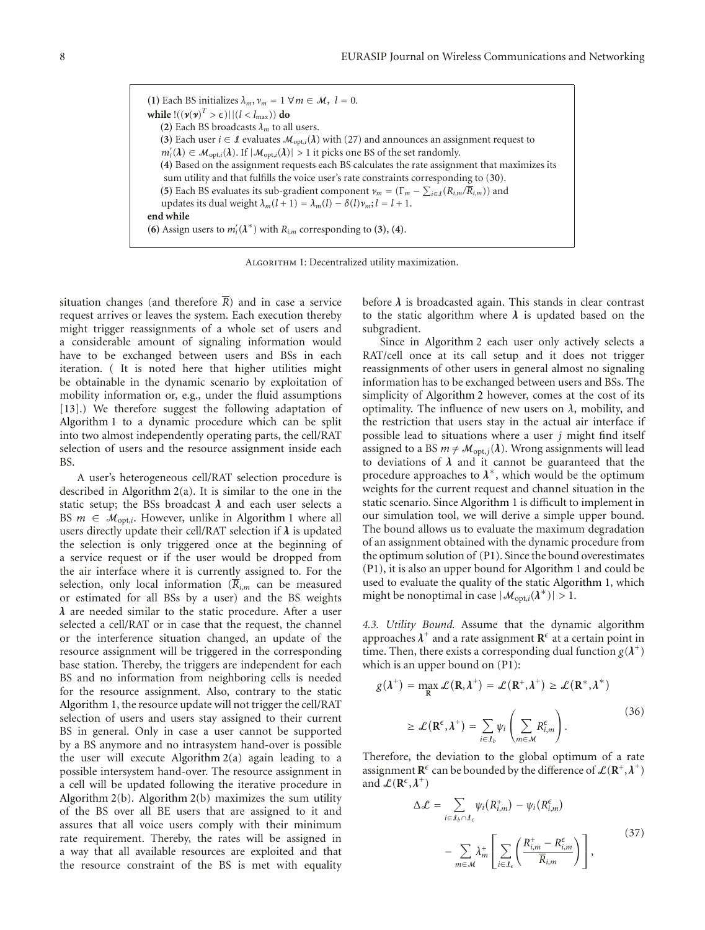**(1)** Each BS initializes  $\lambda_m$ ,  $\nu_m = 1 \,\forall m \in \mathcal{M}, \ l = 0.$ **while**  $!((\nu(\nu)^T > \epsilon) || (l < l_{\max}))$  **do (2)** Each BS broadcasts *λm* to all users. **(3)** Each user  $i \in \mathcal{I}$  evaluates  $\mathcal{M}_{opt,i}(\lambda)$  with (27) and announces an assignment request to  $m'_i(\lambda) \in \mathcal{M}_{\text{opt},i}(\lambda)$ . If  $|\mathcal{M}_{\text{opt},i}(\lambda)| > 1$  it picks one BS of the set randomly. **(4)** Based on the assignment requests each BS calculates the rate assignment that maximizes its sum utility and that fulfills the voice user's rate constraints corresponding to (30). **(5)** Each BS evaluates its sub-gradient component  $\nu_m = (\Gamma_m - \sum_{i \in \mathcal{I}} (R_{i,m}/R_{i,m}))$  and updates its dual weight  $\lambda_m(l+1) = \lambda_m(l) - \delta(l)\nu_m; l = l+1.$ **end while (6)** Assign users to  $m_i'(\lambda^*)$  with  $R_{i,m}$  corresponding to **(3)**, **(4)**.

ALGORITHM 1: Decentralized utility maximization.

situation changes (and therefore  $\bar{R}$ ) and in case a service request arrives or leaves the system. Each execution thereby might trigger reassignments of a whole set of users and a considerable amount of signaling information would have to be exchanged between users and BSs in each iteration. ( It is noted here that higher utilities might be obtainable in the dynamic scenario by exploitation of mobility information or, e.g., under the fluid assumptions [13].) We therefore suggest the following adaptation of Algorithm 1 to a dynamic procedure which can be split into two almost independently operating parts, the cell/RAT selection of users and the resource assignment inside each BS.

A user's heterogeneous cell/RAT selection procedure is described in Algorithm 2(a). It is similar to the one in the static setup; the BSs broadcast *λ* and each user selects a BS  $m \in \mathcal{M}_{\text{opt},i}$ . However, unlike in Algorithm 1 where all users directly update their cell/RAT selection if *λ* is updated the selection is only triggered once at the beginning of a service request or if the user would be dropped from the air interface where it is currently assigned to. For the selection, only local information  $(\overline{R}_{i,m})$  can be measured or estimated for all BSs by a user) and the BS weights *λ* are needed similar to the static procedure. After a user selected a cell/RAT or in case that the request, the channel or the interference situation changed, an update of the resource assignment will be triggered in the corresponding base station. Thereby, the triggers are independent for each BS and no information from neighboring cells is needed for the resource assignment. Also, contrary to the static Algorithm 1, the resource update will not trigger the cell/RAT selection of users and users stay assigned to their current BS in general. Only in case a user cannot be supported by a BS anymore and no intrasystem hand-over is possible the user will execute Algorithm 2(a) again leading to a possible intersystem hand-over. The resource assignment in a cell will be updated following the iterative procedure in Algorithm 2(b). Algorithm 2(b) maximizes the sum utility of the BS over all BE users that are assigned to it and assures that all voice users comply with their minimum rate requirement. Thereby, the rates will be assigned in a way that all available resources are exploited and that the resource constraint of the BS is met with equality

before *λ* is broadcasted again. This stands in clear contrast to the static algorithm where  $\lambda$  is updated based on the subgradient.

Since in Algorithm 2 each user only actively selects a RAT/cell once at its call setup and it does not trigger reassignments of other users in general almost no signaling information has to be exchanged between users and BSs. The simplicity of Algorithm 2 however, comes at the cost of its optimality. The influence of new users on  $\lambda$ , mobility, and the restriction that users stay in the actual air interface if possible lead to situations where a user *j* might find itself assigned to a BS  $m \neq \mathcal{M}_{\text{opt},j}(\lambda)$ . Wrong assignments will lead to deviations of  $\lambda$  and it cannot be guaranteed that the procedure approaches to  $\lambda^*$ , which would be the optimum weights for the current request and channel situation in the static scenario. Since Algorithm 1 is difficult to implement in our simulation tool, we will derive a simple upper bound. The bound allows us to evaluate the maximum degradation of an assignment obtained with the dynamic procedure from the optimum solution of (P1). Since the bound overestimates (P1), it is also an upper bound for Algorithm 1 and could be used to evaluate the quality of the static Algorithm 1, which might be nonoptimal in case  $|\mathcal{M}_{\text{opt},i}(\lambda^*)| > 1$ .

*4.3. Utility Bound.* Assume that the dynamic algorithm approaches *λ*<sup>+</sup> and a rate assignment **R***-* at a certain point in time. Then, there exists a corresponding dual function  $g(\lambda^+)$ which is an upper bound on (P1):

$$
g(\lambda^+) = \max_{\mathbf{R}} \mathcal{L}(\mathbf{R}, \lambda^+) = \mathcal{L}(\mathbf{R}^+, \lambda^+) \ge \mathcal{L}(\mathbf{R}^*, \lambda^*)
$$
  
 
$$
\ge \mathcal{L}(\mathbf{R}^{\epsilon}, \lambda^+) = \sum_{i \in J_b} \psi_i \left( \sum_{m \in \mathcal{M}} R_{i,m}^{\epsilon} \right).
$$
 (36)

Therefore, the deviation to the global optimum of a rate assignment  $\mathbb{R}^{\epsilon}$  can be bounded by the difference of  $\mathcal{L}(\mathbb{R}^+, \lambda^+)$ and  $\mathcal{L}(\mathbf{R}^{\epsilon}, \lambda^+)$ 

$$
\Delta \mathcal{L} = \sum_{i \in \mathcal{I}_b \cap \mathcal{I}_\epsilon} \psi_i(R_{i,m}^+) - \psi_i(R_{i,m}^\epsilon)
$$

$$
- \sum_{m \in \mathcal{M}} \lambda_m^+ \left[ \sum_{i \in \mathcal{I}_\epsilon} \left( \frac{R_{i,m}^+ - R_{i,m}^\epsilon}{\overline{R}_{i,m}} \right) \right], \qquad (37)
$$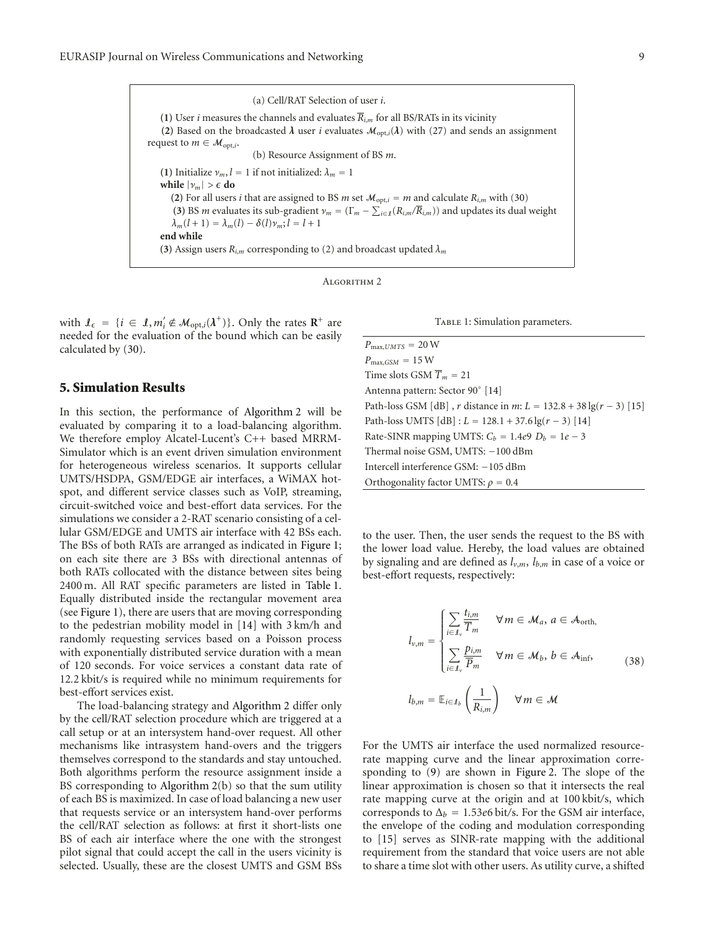(a) Cell/RAT Selection of user *i*. (1) User *i* measures the channels and evaluates  $\overline{R}_{i,m}$  for all BS/RATs in its vicinity (2) Based on the broadcasted  $\lambda$  user *i* evaluates  $\mathcal{M}_{\text{opt},i}(\lambda)$  with (27) and sends an assignment request to  $m \in \mathcal{M}_{\text{opt},i}$ . (b) Resource Assignment of BS *m*. **(1)** Initialize  $\nu_m$ ,  $l = 1$  if not initialized:  $\lambda_m = 1$ **while**  $|\nu_m| > \epsilon$  **do (2)** For all users *i* that are assigned to BS *m* set  $M_{\text{opt},i} = m$  and calculate  $R_{i,m}$  with (30) **(3)** BS *m* evaluates its sub-gradient  $\nu_m = (\Gamma_m - \sum_{i \in I} (R_{i,m}/R_{i,m}))$  and updates its dual weight  $\lambda_m(l+1) = \lambda_m(l) - \delta(l)\nu_m; l = l+1$ **end while (3)** Assign users *Ri*,*<sup>m</sup>* corresponding to (2) and broadcast updated *λm*



with  $\mathcal{I}_{\epsilon} = \{i \in \mathcal{I}, m'_i \notin \mathcal{M}_{\text{opt},i}(\lambda^+)\}\.$  Only the rates  $\mathbb{R}^+$  are needed for the evaluation of the bound which can be easily calculated by (30).

#### **5. Simulation Results**

In this section, the performance of Algorithm 2 will be evaluated by comparing it to a load-balancing algorithm. We therefore employ Alcatel-Lucent's C++ based MRRM-Simulator which is an event driven simulation environment for heterogeneous wireless scenarios. It supports cellular UMTS/HSDPA, GSM/EDGE air interfaces, a WiMAX hotspot, and different service classes such as VoIP, streaming, circuit-switched voice and best-effort data services. For the simulations we consider a 2-RAT scenario consisting of a cellular GSM/EDGE and UMTS air interface with 42 BSs each. The BSs of both RATs are arranged as indicated in Figure 1; on each site there are 3 BSs with directional antennas of both RATs collocated with the distance between sites being 2400 m. All RAT specific parameters are listed in Table 1. Equally distributed inside the rectangular movement area (see Figure 1), there are users that are moving corresponding to the pedestrian mobility model in [14] with 3 km*/*h and randomly requesting services based on a Poisson process with exponentially distributed service duration with a mean of 120 seconds. For voice services a constant data rate of 12*.*2 kbit*/*s is required while no minimum requirements for best-effort services exist.

The load-balancing strategy and Algorithm 2 differ only by the cell/RAT selection procedure which are triggered at a call setup or at an intersystem hand-over request. All other mechanisms like intrasystem hand-overs and the triggers themselves correspond to the standards and stay untouched. Both algorithms perform the resource assignment inside a BS corresponding to Algorithm 2(b) so that the sum utility of each BS is maximized. In case of load balancing a new user that requests service or an intersystem hand-over performs the cell/RAT selection as follows: at first it short-lists one BS of each air interface where the one with the strongest pilot signal that could accept the call in the users vicinity is selected. Usually, these are the closest UMTS and GSM BSs

TABLE 1: Simulation parameters.

| $P_{\text{max.UMTS}} = 20 \text{ W}$                                                 |
|--------------------------------------------------------------------------------------|
| $P_{\text{max,GSM}} = 15 \text{ W}$                                                  |
| Time slots GSM $\overline{T}_m = 21$                                                 |
| Antenna pattern: Sector 90° [14]                                                     |
| Path-loss GSM [dB], <i>r</i> distance in <i>m</i> : $L = 132.8 + 38 \lg(r - 3)$ [15] |
| Path-loss UMTS [dB] : $L = 128.1 + 37.6 \lg(r - 3)$ [14]                             |
| Rate-SINR mapping UMTS: $C_h = 1.4e9 D_h = 1e - 3$                                   |
| Thermal noise GSM, UMTS: -100 dBm                                                    |
| Intercell interference GSM: -105 dBm                                                 |
| Orthogonality factor UMTS: $\rho = 0.4$                                              |
|                                                                                      |

to the user. Then, the user sends the request to the BS with the lower load value. Hereby, the load values are obtained by signaling and are defined as *lv*,*m*, *lb*,*<sup>m</sup>* in case of a voice or best-effort requests, respectively:

$$
l_{v,m} = \begin{cases} \sum_{i \in I_v} \frac{t_{i,m}}{\overline{T}_m} & \forall m \in \mathcal{M}_a, a \in \mathcal{A}_{\text{orth}},\\ \sum_{i \in I_v} \frac{p_{i,m}}{\overline{P}_m} & \forall m \in \mathcal{M}_b, b \in \mathcal{A}_{\text{inf}}, \end{cases}
$$
(38)  

$$
l_{b,m} = \mathbb{E}_{i \in I_b} \left( \frac{1}{R_{i,m}} \right) \forall m \in \mathcal{M}
$$

For the UMTS air interface the used normalized resourcerate mapping curve and the linear approximation corresponding to (9) are shown in Figure 2. The slope of the linear approximation is chosen so that it intersects the real rate mapping curve at the origin and at 100 kbit*/*s, which corresponds to  $\Delta_b = 1.53e6$  bit/s. For the GSM air interface, the envelope of the coding and modulation corresponding to [15] serves as SINR-rate mapping with the additional requirement from the standard that voice users are not able to share a time slot with other users. As utility curve, a shifted

*Ri*,*<sup>m</sup>*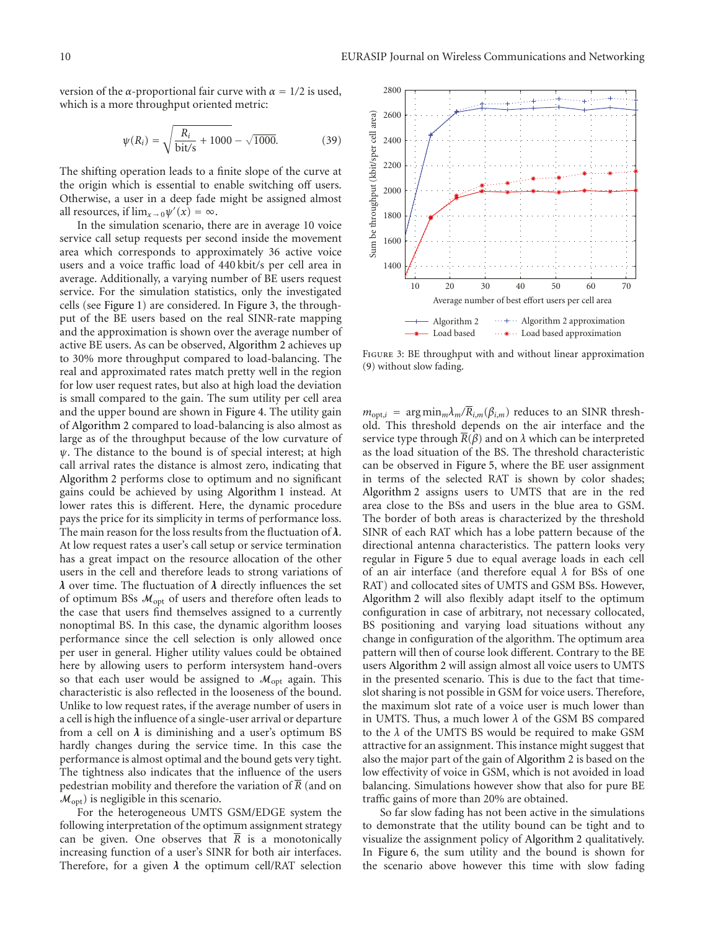version of the *α*-proportional fair curve with *α* = 1*/*2 is used, which is a more throughput oriented metric:

$$
\psi(R_i) = \sqrt{\frac{R_i}{\text{bit/s}} + 1000} - \sqrt{1000}.
$$
 (39)

The shifting operation leads to a finite slope of the curve at the origin which is essential to enable switching off users. Otherwise, a user in a deep fade might be assigned almost all resources, if  $\lim_{x\to 0} \psi'(x) = \infty$ .

In the simulation scenario, there are in average 10 voice service call setup requests per second inside the movement area which corresponds to approximately 36 active voice users and a voice traffic load of 440 kbit*/*s per cell area in average. Additionally, a varying number of BE users request service. For the simulation statistics, only the investigated cells (see Figure 1) are considered. In Figure 3, the throughput of the BE users based on the real SINR-rate mapping and the approximation is shown over the average number of active BE users. As can be observed, Algorithm 2 achieves up to 30% more throughput compared to load-balancing. The real and approximated rates match pretty well in the region for low user request rates, but also at high load the deviation is small compared to the gain. The sum utility per cell area and the upper bound are shown in Figure 4. The utility gain of Algorithm 2 compared to load-balancing is also almost as large as of the throughput because of the low curvature of *ψ*. The distance to the bound is of special interest; at high call arrival rates the distance is almost zero, indicating that Algorithm 2 performs close to optimum and no significant gains could be achieved by using Algorithm 1 instead. At lower rates this is different. Here, the dynamic procedure pays the price for its simplicity in terms of performance loss. The main reason for the loss results from the fluctuation of *λ*. At low request rates a user's call setup or service termination has a great impact on the resource allocation of the other users in the cell and therefore leads to strong variations of *λ* over time. The fluctuation of *λ* directly influences the set of optimum BSs  $M_{\text{opt}}$  of users and therefore often leads to the case that users find themselves assigned to a currently nonoptimal BS. In this case, the dynamic algorithm looses performance since the cell selection is only allowed once per user in general. Higher utility values could be obtained here by allowing users to perform intersystem hand-overs so that each user would be assigned to  $\mathcal{M}_{\text{opt}}$  again. This characteristic is also reflected in the looseness of the bound. Unlike to low request rates, if the average number of users in a cell is high the influence of a single-user arrival or departure from a cell on  $\lambda$  is diminishing and a user's optimum BS hardly changes during the service time. In this case the performance is almost optimal and the bound gets very tight. The tightness also indicates that the influence of the users pedestrian mobility and therefore the variation of  $\overline{R}$  (and on  $\mathcal{M}_{\text{opt}}$ ) is negligible in this scenario.

For the heterogeneous UMTS GSM/EDGE system the following interpretation of the optimum assignment strategy can be given. One observes that  $\overline{R}$  is a monotonically increasing function of a user's SINR for both air interfaces. Therefore, for a given  $\lambda$  the optimum cell/RAT selection



FIGURE 3: BE throughput with and without linear approximation (9) without slow fading.

 $m_{\text{opt},i}$  = arg min<sub>*m*</sub> $\lambda_m/\overline{R}_{i,m}(\beta_{i,m})$  reduces to an SINR threshold. This threshold depends on the air interface and the service type through  $\overline{R}(\beta)$  and on  $\lambda$  which can be interpreted as the load situation of the BS. The threshold characteristic can be observed in Figure 5, where the BE user assignment in terms of the selected RAT is shown by color shades; Algorithm 2 assigns users to UMTS that are in the red area close to the BSs and users in the blue area to GSM. The border of both areas is characterized by the threshold SINR of each RAT which has a lobe pattern because of the directional antenna characteristics. The pattern looks very regular in Figure 5 due to equal average loads in each cell of an air interface (and therefore equal *λ* for BSs of one RAT) and collocated sites of UMTS and GSM BSs. However, Algorithm 2 will also flexibly adapt itself to the optimum configuration in case of arbitrary, not necessary collocated, BS positioning and varying load situations without any change in configuration of the algorithm. The optimum area pattern will then of course look different. Contrary to the BE users Algorithm 2 will assign almost all voice users to UMTS in the presented scenario. This is due to the fact that timeslot sharing is not possible in GSM for voice users. Therefore, the maximum slot rate of a voice user is much lower than in UMTS. Thus, a much lower *λ* of the GSM BS compared to the *λ* of the UMTS BS would be required to make GSM attractive for an assignment. This instance might suggest that also the major part of the gain of Algorithm 2 is based on the low effectivity of voice in GSM, which is not avoided in load balancing. Simulations however show that also for pure BE traffic gains of more than 20% are obtained.

So far slow fading has not been active in the simulations to demonstrate that the utility bound can be tight and to visualize the assignment policy of Algorithm 2 qualitatively. In Figure 6, the sum utility and the bound is shown for the scenario above however this time with slow fading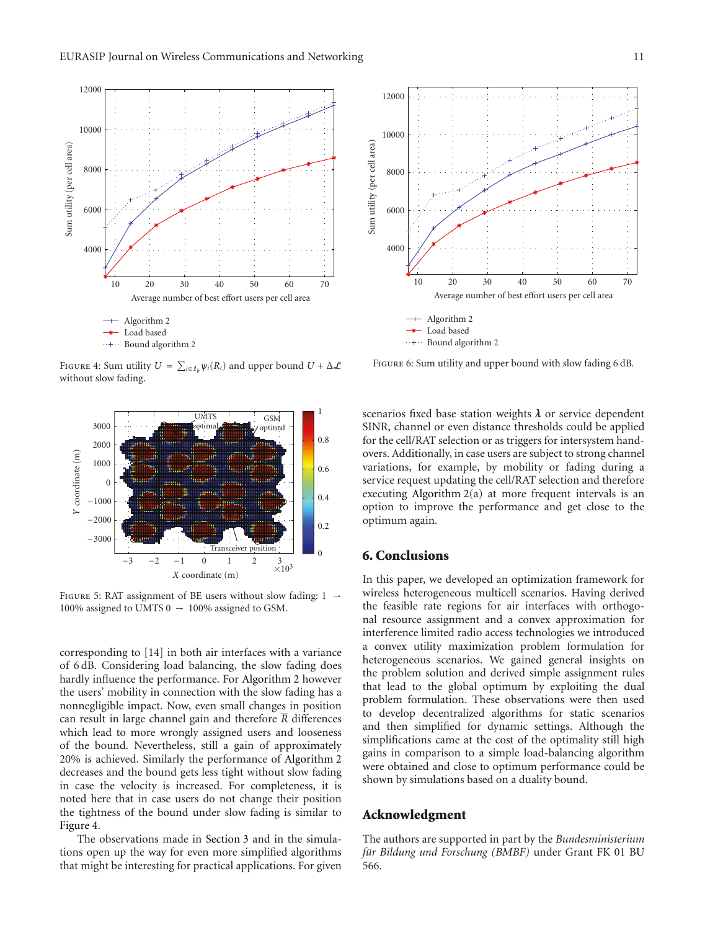

FIGURE 4: Sum utility  $U = \sum_{i \in I_b} \psi_i(R_i)$  and upper bound  $U + \Delta \mathcal{L}$ without slow fading.



FIGURE 5: RAT assignment of BE users without slow fading:  $1 \rightarrow$ 100% assigned to UMTS 0  $\rightarrow$  100% assigned to GSM.

corresponding to [14] in both air interfaces with a variance of 6 dB. Considering load balancing, the slow fading does hardly influence the performance. For Algorithm 2 however the users' mobility in connection with the slow fading has a nonnegligible impact. Now, even small changes in position can result in large channel gain and therefore  $\overline{R}$  differences which lead to more wrongly assigned users and looseness of the bound. Nevertheless, still a gain of approximately 20% is achieved. Similarly the performance of Algorithm 2 decreases and the bound gets less tight without slow fading in case the velocity is increased. For completeness, it is noted here that in case users do not change their position the tightness of the bound under slow fading is similar to Figure 4.

The observations made in Section 3 and in the simulations open up the way for even more simplified algorithms that might be interesting for practical applications. For given



Figure 6: Sum utility and upper bound with slow fading 6 dB*.*

scenarios fixed base station weights *λ* or service dependent SINR, channel or even distance thresholds could be applied for the cell/RAT selection or as triggers for intersystem handovers. Additionally, in case users are subject to strong channel variations, for example, by mobility or fading during a service request updating the cell/RAT selection and therefore executing Algorithm 2(a) at more frequent intervals is an option to improve the performance and get close to the optimum again.

#### **6. Conclusions**

In this paper, we developed an optimization framework for wireless heterogeneous multicell scenarios. Having derived the feasible rate regions for air interfaces with orthogonal resource assignment and a convex approximation for interference limited radio access technologies we introduced a convex utility maximization problem formulation for heterogeneous scenarios. We gained general insights on the problem solution and derived simple assignment rules that lead to the global optimum by exploiting the dual problem formulation. These observations were then used to develop decentralized algorithms for static scenarios and then simplified for dynamic settings. Although the simplifications came at the cost of the optimality still high gains in comparison to a simple load-balancing algorithm were obtained and close to optimum performance could be shown by simulations based on a duality bound.

#### **Acknowledgment**

The authors are supported in part by the *Bundesministerium für Bildung und Forschung (BMBF)* under Grant FK 01 BU 566.